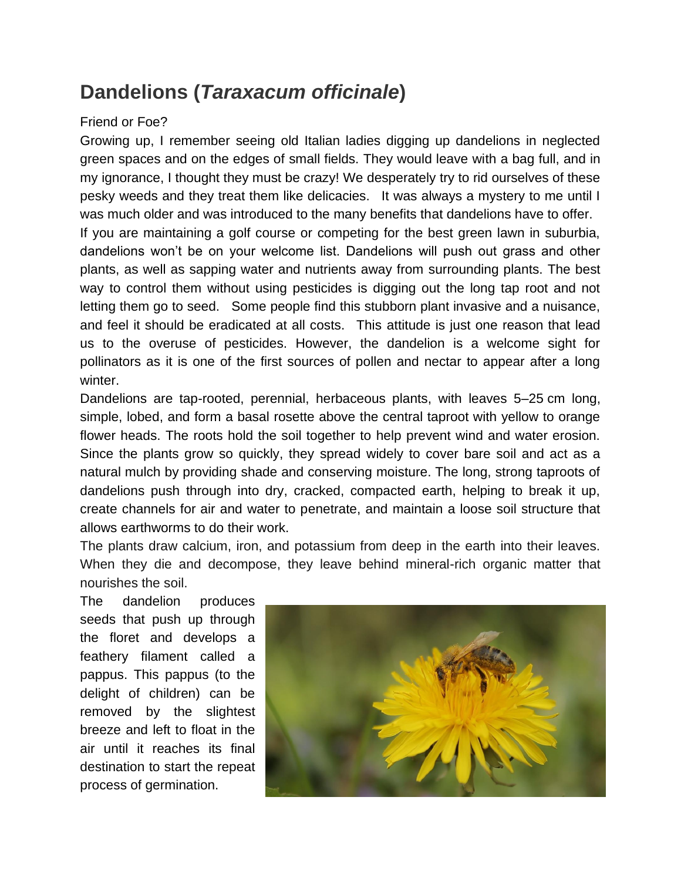## **Dandelions (***Taraxacum officinale***)**

## Friend or Foe?

Growing up, I remember seeing old Italian ladies digging up dandelions in neglected green spaces and on the edges of small fields. They would leave with a bag full, and in my ignorance, I thought they must be crazy! We desperately try to rid ourselves of these pesky weeds and they treat them like delicacies. It was always a mystery to me until I was much older and was introduced to the many benefits that dandelions have to offer.

If you are maintaining a golf course or competing for the best green lawn in suburbia, dandelions won't be on your welcome list. Dandelions will push out grass and other plants, as well as sapping water and nutrients away from surrounding plants. The best way to control them without using pesticides is digging out the long tap root and not letting them go to seed. Some people find this stubborn plant invasive and a nuisance, and feel it should be eradicated at all costs. This attitude is just one reason that lead us to the overuse of pesticides. However, the dandelion is a welcome sight for pollinators as it is one of the first sources of pollen and nectar to appear after a long winter.

Dandelions are tap-rooted, perennial, herbaceous plants, with leaves 5–25 cm long, simple, lobed, and form a basal rosette above the central taproot with yellow to orange flower heads. The roots hold the soil together to help prevent wind and water erosion. Since the plants grow so quickly, they spread widely to cover bare soil and act as a natural mulch by providing shade and conserving moisture. The long, strong taproots of dandelions push through into dry, cracked, compacted earth, helping to break it up, create channels for air and water to penetrate, and maintain a loose soil structure that allows earthworms to do their work.

The plants draw calcium, iron, and potassium from deep in the earth into their leaves. When they die and decompose, they leave behind mineral-rich organic matter that nourishes the soil.

The dandelion produces seeds that push up through the floret and develops a feathery filament called a pappus. This pappus (to the delight of children) can be removed by the slightest breeze and left to float in the air until it reaches its final destination to start the repeat process of germination.